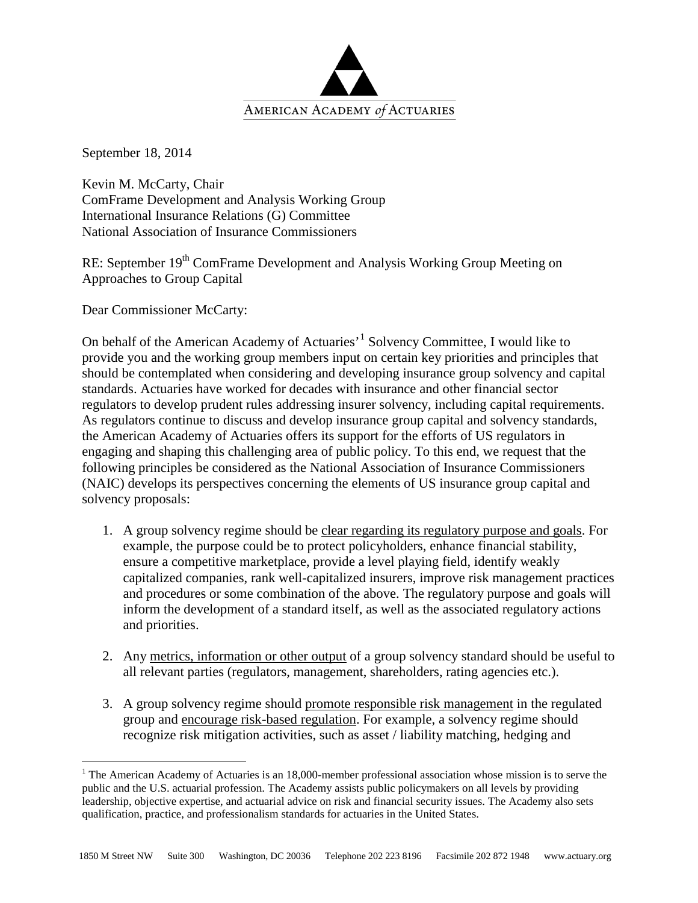

September 18, 2014

Kevin M. McCarty, Chair ComFrame Development and Analysis Working Group International Insurance Relations (G) Committee National Association of Insurance Commissioners

RE: September 19<sup>th</sup> ComFrame Development and Analysis Working Group Meeting on Approaches to Group Capital

Dear Commissioner McCarty:

On behalf of the American Academy of Actuaries'[1](#page-0-0) Solvency Committee, I would like to provide you and the working group members input on certain key priorities and principles that should be contemplated when considering and developing insurance group solvency and capital standards. Actuaries have worked for decades with insurance and other financial sector regulators to develop prudent rules addressing insurer solvency, including capital requirements. As regulators continue to discuss and develop insurance group capital and solvency standards, the American Academy of Actuaries offers its support for the efforts of US regulators in engaging and shaping this challenging area of public policy. To this end, we request that the following principles be considered as the National Association of Insurance Commissioners (NAIC) develops its perspectives concerning the elements of US insurance group capital and solvency proposals:

- 1. A group solvency regime should be clear regarding its regulatory purpose and goals. For example, the purpose could be to protect policyholders, enhance financial stability, ensure a competitive marketplace, provide a level playing field, identify weakly capitalized companies, rank well-capitalized insurers, improve risk management practices and procedures or some combination of the above. The regulatory purpose and goals will inform the development of a standard itself, as well as the associated regulatory actions and priorities.
- 2. Any metrics, information or other output of a group solvency standard should be useful to all relevant parties (regulators, management, shareholders, rating agencies etc.).
- 3. A group solvency regime should promote responsible risk management in the regulated group and encourage risk-based regulation. For example, a solvency regime should recognize risk mitigation activities, such as asset / liability matching, hedging and

<span id="page-0-0"></span><sup>&</sup>lt;sup>1</sup> The American Academy of Actuaries is an 18,000-member professional association whose mission is to serve the public and the U.S. actuarial profession. The Academy assists public policymakers on all levels by providing leadership, objective expertise, and actuarial advice on risk and financial security issues. The Academy also sets qualification, practice, and professionalism standards for actuaries in the United States.